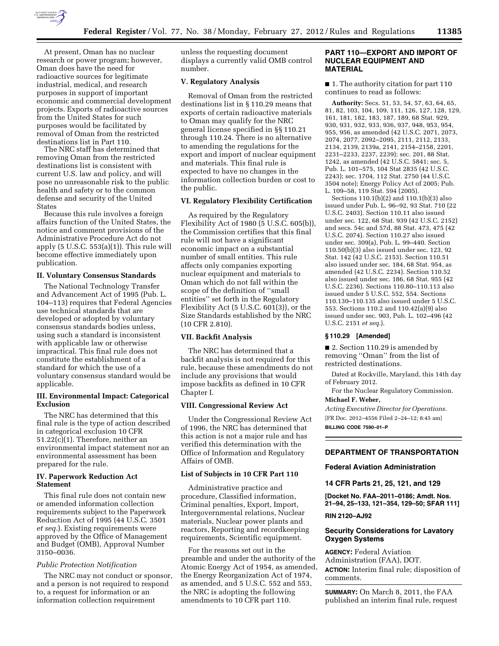

At present, Oman has no nuclear research or power program; however, Oman does have the need for radioactive sources for legitimate industrial, medical, and research purposes in support of important economic and commercial development projects. Exports of radioactive sources from the United States for such purposes would be facilitated by removal of Oman from the restricted destinations list in Part 110.

The NRC staff has determined that removing Oman from the restricted destinations list is consistent with current U.S. law and policy, and will pose no unreasonable risk to the public health and safety or to the common defense and security of the United States

Because this rule involves a foreign affairs function of the United States, the notice and comment provisions of the Administrative Procedure Act do not apply  $(5 \text{ U.S.C. } 553(a)(1))$ . This rule will become effective immediately upon publication.

### **II. Voluntary Consensus Standards**

The National Technology Transfer and Advancement Act of 1995 (Pub. L. 104–113) requires that Federal Agencies use technical standards that are developed or adopted by voluntary consensus standards bodies unless, using such a standard is inconsistent with applicable law or otherwise impractical. This final rule does not constitute the establishment of a standard for which the use of a voluntary consensus standard would be applicable.

## **III. Environmental Impact: Categorical Exclusion**

The NRC has determined that this final rule is the type of action described in categorical exclusion 10 CFR 51.22(c)(1). Therefore, neither an environmental impact statement nor an environmental assessment has been prepared for the rule.

## **IV. Paperwork Reduction Act Statement**

This final rule does not contain new or amended information collection requirements subject to the Paperwork Reduction Act of 1995 (44 U.S.C. 3501 *et seq.*). Existing requirements were approved by the Office of Management and Budget (OMB), Approval Number 3150–0036.

#### *Public Protection Notification*

The NRC may not conduct or sponsor, and a person is not required to respond to, a request for information or an information collection requirement

unless the requesting document displays a currently valid OMB control number.

## **V. Regulatory Analysis**

Removal of Oman from the restricted destinations list in § 110.29 means that exports of certain radioactive materials to Oman may qualify for the NRC general license specified in §§ 110.21 through 110.24. There is no alternative to amending the regulations for the export and import of nuclear equipment and materials. This final rule is expected to have no changes in the information collection burden or cost to the public.

#### **VI. Regulatory Flexibility Certification**

As required by the Regulatory Flexibility Act of 1980 (5 U.S.C. 605(b)), the Commission certifies that this final rule will not have a significant economic impact on a substantial number of small entities. This rule affects only companies exporting nuclear equipment and materials to Oman which do not fall within the scope of the definition of ''small entities'' set forth in the Regulatory Flexibility Act (5 U.S.C. 601(3)), or the Size Standards established by the NRC (10 CFR 2.810).

### **VII. Backfit Analysis**

The NRC has determined that a backfit analysis is not required for this rule, because these amendments do not include any provisions that would impose backfits as defined in 10 CFR Chapter I.

#### **VIII. Congressional Review Act**

Under the Congressional Review Act of 1996, the NRC has determined that this action is not a major rule and has verified this determination with the Office of Information and Regulatory Affairs of OMB.

# **List of Subjects in 10 CFR Part 110**

Administrative practice and procedure, Classified information, Criminal penalties, Export, Import, Intergovernmental relations, Nuclear materials, Nuclear power plants and reactors, Reporting and recordkeeping requirements, Scientific equipment.

For the reasons set out in the preamble and under the authority of the Atomic Energy Act of 1954, as amended, the Energy Reorganization Act of 1974, as amended, and 5 U.S.C. 552 and 553, the NRC is adopting the following amendments to 10 CFR part 110.

## **PART 110—EXPORT AND IMPORT OF NUCLEAR EQUIPMENT AND MATERIAL**

■ 1. The authority citation for part 110 continues to read as follows:

**Authority:** Secs. 51, 53, 54, 57, 63, 64, 65, 81, 82, 103, 104, 109, 111, 126, 127, 128, 129, 161, 181, 182, 183, 187, 189, 68 Stat. 929, 930, 931, 932, 933, 936, 937, 948, 953, 954, 955, 956, as amended (42 U.S.C. 2071, 2073, 2074, 2077, 2092–2095, 2111, 2112, 2133, 2134, 2139, 2139a, 2141, 2154–2158, 2201, 2231–2233, 2237, 2239); sec. 201, 88 Stat. 1242, as amended (42 U.S.C. 5841; sec. 5, Pub. L. 101–575, 104 Stat 2835 (42 U.S.C. 2243); sec. 1704, 112 Stat. 2750 (44 U.S.C. 3504 note); Energy Policy Act of 2005; Pub. L. 109–58, 119 Stat. 594 (2005).

Sections 110.1(b)(2) and 110.1(b)(3) also issued under Pub. L. 96–92, 93 Stat. 710 (22 U.S.C. 2403). Section 110.11 also issued under sec. 122, 68 Stat. 939 (42 U.S.C. 2152) and secs. 54c and 57d, 88 Stat. 473, 475 (42 U.S.C. 2074). Section 110.27 also issued under sec. 309(a), Pub. L. 99–440. Section 110.50(b)(3) also issued under sec. 123, 92 Stat. 142 (42 U.S.C. 2153). Section 110.51 also issued under sec. 184, 68 Stat. 954, as amended (42 U.S.C. 2234). Section 110.52 also issued under sec. 186, 68 Stat. 955 (42 U.S.C. 2236). Sections 110.80–110.113 also issued under 5 U.S.C. 552, 554. Sections 110.130–110.135 also issued under 5 U.S.C. 553. Sections 110.2 and 110.42(a)(9) also issued under sec. 903, Pub. L. 102–496 (42 U.S.C. 2151 *et seq.*).

#### **§ 110.29 [Amended]**

■ 2. Section 110.29 is amended by removing ''Oman'' from the list of restricted destinations.

Dated at Rockville, Maryland, this 14th day of February 2012.

For the Nuclear Regulatory Commission. **Michael F. Weber,** 

*Acting Executive Director for Operations.*  [FR Doc. 2012–4556 Filed 2–24–12; 8:45 am] **BILLING CODE 7590–01–P** 

## **DEPARTMENT OF TRANSPORTATION**

**Federal Aviation Administration** 

**14 CFR Parts 21, 25, 121, and 129** 

**[Docket No. FAA–2011–0186; Amdt. Nos. 21–94, 25–133, 121–354, 129–50; SFAR 111]** 

## **RIN 2120–AJ92**

# **Security Considerations for Lavatory Oxygen Systems**

**AGENCY:** Federal Aviation Administration (FAA), DOT. **ACTION:** Interim final rule; disposition of comments.

**SUMMARY:** On March 8, 2011, the FAA published an interim final rule, request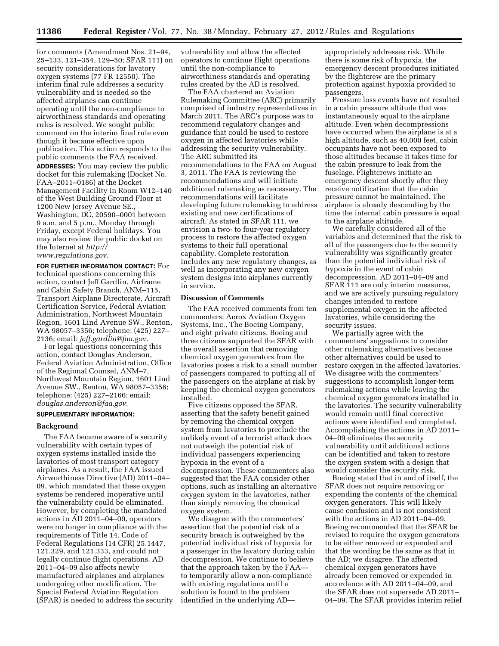for comments (Amendment Nos. 21–94, 25–133, 121–354, 129–50; SFAR 111) on security considerations for lavatory oxygen systems (77 FR 12550). The interim final rule addresses a security vulnerability and is needed so the affected airplanes can continue operating until the non-compliance to airworthiness standards and operating rules is resolved. We sought public comment on the interim final rule even though it became effective upon publication. This action responds to the public comments the FAA received. **ADDRESSES:** You may review the public docket for this rulemaking (Docket No. FAA–2011–0186) at the Docket Management Facility in Room W12–140 of the West Building Ground Floor at 1200 New Jersey Avenue SE., Washington, DC, 20590–0001 between 9 a.m. and 5 p.m., Monday through Friday, except Federal holidays. You may also review the public docket on the Internet at *[http://](http://www.regulations.gov)  [www.regulations.gov](http://www.regulations.gov)*.

**FOR FURTHER INFORMATION CONTACT:** For technical questions concerning this action, contact Jeff Gardlin, Airframe and Cabin Safety Branch, ANM–115, Transport Airplane Directorate, Aircraft Certification Service, Federal Aviation Administration, Northwest Mountain Region, 1601 Lind Avenue SW., Renton, WA 98057–3356; telephone: (425) 227– 2136; email: *[jeff.gardlin@faa.gov](mailto:jeff.gardlin@faa.gov)*.

For legal questions concerning this action, contact Douglas Anderson, Federal Aviation Administration, Office of the Regional Counsel, ANM–7, Northwest Mountain Region, 1601 Lind Avenue SW., Renton, WA 98057–3356; telephone: (425) 227–2166; email: *[douglas.anderson@faa.gov](mailto:douglas.anderson@faa.gov)*.

## **SUPPLEMENTARY INFORMATION:**

#### **Background**

The FAA became aware of a security vulnerability with certain types of oxygen systems installed inside the lavatories of most transport category airplanes. As a result, the FAA issued Airworthiness Directive (AD) 2011–04– 09, which mandated that these oxygen systems be rendered inoperative until the vulnerability could be eliminated. However, by completing the mandated actions in AD 2011–04–09, operators were no longer in compliance with the requirements of Title 14, Code of Federal Regulations (14 CFR) 25.1447, 121.329, and 121.333, and could not legally continue flight operations. AD 2011–04–09 also affects newly manufactured airplanes and airplanes undergoing other modification. The Special Federal Aviation Regulation (SFAR) is needed to address the security vulnerability and allow the affected operators to continue flight operations until the non-compliance to airworthiness standards and operating rules created by the AD is resolved.

The FAA chartered an Aviation Rulemaking Committee (ARC) primarily comprised of industry representatives in March 2011. The ARC's purpose was to recommend regulatory changes and guidance that could be used to restore oxygen in affected lavatories while addressing the security vulnerability. The ARC submitted its recommendations to the FAA on August 3, 2011. The FAA is reviewing the recommendations and will initiate additional rulemaking as necessary. The recommendations will facilitate developing future rulemaking to address existing and new certifications of aircraft. As stated in SFAR 111, we envision a two- to four-year regulatory process to restore the affected oxygen systems to their full operational capability. Complete restoration includes any new regulatory changes, as well as incorporating any new oxygen system designs into airplanes currently in service.

# **Discussion of Comments**

The FAA received comments from ten commenters: Aerox Aviation Oxygen Systems, Inc., The Boeing Company, and eight private citizens. Boeing and three citizens supported the SFAR with the overall assertion that removing chemical oxygen generators from the lavatories poses a risk to a small number of passengers compared to putting all of the passengers on the airplane at risk by keeping the chemical oxygen generators installed.

Five citizens opposed the SFAR, asserting that the safety benefit gained by removing the chemical oxygen system from lavatories to preclude the unlikely event of a terrorist attack does not outweigh the potential risk of individual passengers experiencing hypoxia in the event of a decompression. These commenters also suggested that the FAA consider other options, such as installing an alternative oxygen system in the lavatories, rather than simply removing the chemical oxygen system.

We disagree with the commenters' assertion that the potential risk of a security breach is outweighed by the potential individual risk of hypoxia for a passenger in the lavatory during cabin decompression. We continue to believe that the approach taken by the FAA to temporarily allow a non-compliance with existing regulations until a solution is found to the problem identified in the underlying AD—

appropriately addresses risk. While there is some risk of hypoxia, the emergency descent procedures initiated by the flightcrew are the primary protection against hypoxia provided to passengers.

Pressure loss events have not resulted in a cabin pressure altitude that was instantaneously equal to the airplane altitude. Even when decompressions have occurred when the airplane is at a high altitude, such as 40,000 feet, cabin occupants have not been exposed to those altitudes because it takes time for the cabin pressure to leak from the fuselage. Flightcrews initiate an emergency descent shortly after they receive notification that the cabin pressure cannot be maintained. The airplane is already descending by the time the internal cabin pressure is equal to the airplane altitude.

We carefully considered all of the variables and determined that the risk to all of the passengers due to the security vulnerability was significantly greater than the potential individual risk of hypoxia in the event of cabin decompression. AD 2011–04–09 and SFAR 111 are only interim measures, and we are actively pursuing regulatory changes intended to restore supplemental oxygen in the affected lavatories, while considering the security issues.

We partially agree with the commenters' suggestions to consider other rulemaking alternatives because other alternatives could be used to restore oxygen in the affected lavatories. We disagree with the commenters' suggestions to accomplish longer-term rulemaking actions while leaving the chemical oxygen generators installed in the lavatories. The security vulnerability would remain until final corrective actions were identified and completed. Accomplishing the actions in AD 2011– 04–09 eliminates the security vulnerability until additional actions can be identified and taken to restore the oxygen system with a design that would consider the security risk.

Boeing stated that in and of itself, the SFAR does not require removing or expending the contents of the chemical oxygen generators. This will likely cause confusion and is not consistent with the actions in AD 2011–04–09. Boeing recommended that the SFAR be revised to require the oxygen generators to be either removed or expended and that the wording be the same as that in the AD; we disagree. The affected chemical oxygen generators have already been removed or expended in accordance with AD 2011–04–09, and the SFAR does not supersede AD 2011– 04–09. The SFAR provides interim relief